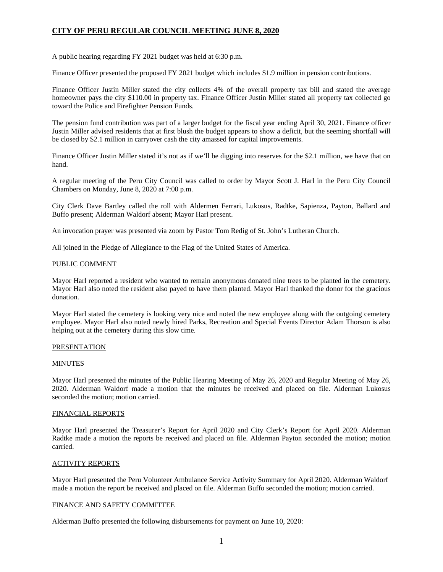A public hearing regarding FY 2021 budget was held at 6:30 p.m.

Finance Officer presented the proposed FY 2021 budget which includes \$1.9 million in pension contributions.

Finance Officer Justin Miller stated the city collects 4% of the overall property tax bill and stated the average homeowner pays the city \$110.00 in property tax. Finance Officer Justin Miller stated all property tax collected go toward the Police and Firefighter Pension Funds.

The pension fund contribution was part of a larger budget for the fiscal year ending April 30, 2021. Finance officer Justin Miller advised residents that at first blush the budget appears to show a deficit, but the seeming shortfall will be closed by \$2.1 million in carryover cash the city amassed for capital improvements.

Finance Officer Justin Miller stated it's not as if we'll be digging into reserves for the \$2.1 million, we have that on hand.

A regular meeting of the Peru City Council was called to order by Mayor Scott J. Harl in the Peru City Council Chambers on Monday, June 8, 2020 at 7:00 p.m.

City Clerk Dave Bartley called the roll with Aldermen Ferrari, Lukosus, Radtke, Sapienza, Payton, Ballard and Buffo present; Alderman Waldorf absent; Mayor Harl present.

An invocation prayer was presented via zoom by Pastor Tom Redig of St. John's Lutheran Church.

All joined in the Pledge of Allegiance to the Flag of the United States of America.

## PUBLIC COMMENT

Mayor Harl reported a resident who wanted to remain anonymous donated nine trees to be planted in the cemetery. Mayor Harl also noted the resident also payed to have them planted. Mayor Harl thanked the donor for the gracious donation.

Mayor Harl stated the cemetery is looking very nice and noted the new employee along with the outgoing cemetery employee. Mayor Harl also noted newly hired Parks, Recreation and Special Events Director Adam Thorson is also helping out at the cemetery during this slow time.

## PRESENTATION

## MINUTES

Mayor Harl presented the minutes of the Public Hearing Meeting of May 26, 2020 and Regular Meeting of May 26, 2020. Alderman Waldorf made a motion that the minutes be received and placed on file. Alderman Lukosus seconded the motion; motion carried.

## FINANCIAL REPORTS

Mayor Harl presented the Treasurer's Report for April 2020 and City Clerk's Report for April 2020. Alderman Radtke made a motion the reports be received and placed on file. Alderman Payton seconded the motion; motion carried.

# ACTIVITY REPORTS

Mayor Harl presented the Peru Volunteer Ambulance Service Activity Summary for April 2020. Alderman Waldorf made a motion the report be received and placed on file. Alderman Buffo seconded the motion; motion carried.

## FINANCE AND SAFETY COMMITTEE

Alderman Buffo presented the following disbursements for payment on June 10, 2020: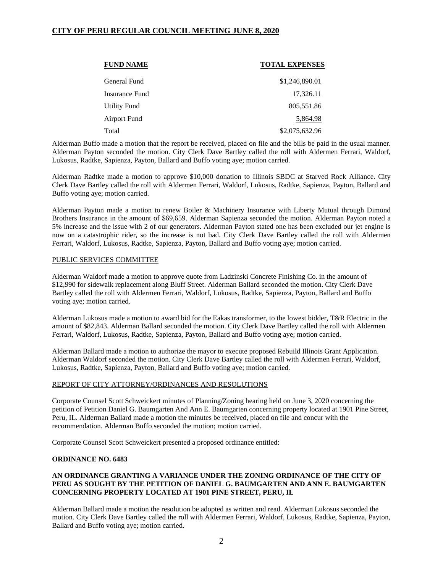| <b>FUND NAME</b>    | <b>TOTAL EXPENSES</b> |
|---------------------|-----------------------|
| General Fund        | \$1,246,890.01        |
| Insurance Fund      | 17,326.11             |
| <b>Utility Fund</b> | 805,551.86            |
| <b>Airport Fund</b> | 5,864.98              |
| Total               | \$2,075,632.96        |

Alderman Buffo made a motion that the report be received, placed on file and the bills be paid in the usual manner. Alderman Payton seconded the motion. City Clerk Dave Bartley called the roll with Aldermen Ferrari, Waldorf, Lukosus, Radtke, Sapienza, Payton, Ballard and Buffo voting aye; motion carried.

Alderman Radtke made a motion to approve \$10,000 donation to Illinois SBDC at Starved Rock Alliance. City Clerk Dave Bartley called the roll with Aldermen Ferrari, Waldorf, Lukosus, Radtke, Sapienza, Payton, Ballard and Buffo voting aye; motion carried.

Alderman Payton made a motion to renew Boiler & Machinery Insurance with Liberty Mutual through Dimond Brothers Insurance in the amount of \$69,659. Alderman Sapienza seconded the motion. Alderman Payton noted a 5% increase and the issue with 2 of our generators. Alderman Payton stated one has been excluded our jet engine is now on a catastrophic rider, so the increase is not bad. City Clerk Dave Bartley called the roll with Aldermen Ferrari, Waldorf, Lukosus, Radtke, Sapienza, Payton, Ballard and Buffo voting aye; motion carried.

## PUBLIC SERVICES COMMITTEE

Alderman Waldorf made a motion to approve quote from Ladzinski Concrete Finishing Co. in the amount of \$12,990 for sidewalk replacement along Bluff Street. Alderman Ballard seconded the motion. City Clerk Dave Bartley called the roll with Aldermen Ferrari, Waldorf, Lukosus, Radtke, Sapienza, Payton, Ballard and Buffo voting aye; motion carried.

Alderman Lukosus made a motion to award bid for the Eakas transformer, to the lowest bidder, T&R Electric in the amount of \$82,843. Alderman Ballard seconded the motion. City Clerk Dave Bartley called the roll with Aldermen Ferrari, Waldorf, Lukosus, Radtke, Sapienza, Payton, Ballard and Buffo voting aye; motion carried.

Alderman Ballard made a motion to authorize the mayor to execute proposed Rebuild Illinois Grant Application. Alderman Waldorf seconded the motion. City Clerk Dave Bartley called the roll with Aldermen Ferrari, Waldorf, Lukosus, Radtke, Sapienza, Payton, Ballard and Buffo voting aye; motion carried.

## REPORT OF CITY ATTORNEY/ORDINANCES AND RESOLUTIONS

Corporate Counsel Scott Schweickert minutes of Planning/Zoning hearing held on June 3, 2020 concerning the petition of Petition Daniel G. Baumgarten And Ann E. Baumgarten concerning property located at 1901 Pine Street, Peru, IL. Alderman Ballard made a motion the minutes be received, placed on file and concur with the recommendation. Alderman Buffo seconded the motion: motion carried.

Corporate Counsel Scott Schweickert presented a proposed ordinance entitled:

## **ORDINANCE NO. 6483**

# **AN ORDINANCE GRANTING A VARIANCE UNDER THE ZONING ORDINANCE OF THE CITY OF PERU AS SOUGHT BY THE PETITION OF DANIEL G. BAUMGARTEN AND ANN E. BAUMGARTEN CONCERNING PROPERTY LOCATED AT 1901 PINE STREET, PERU, IL**

Alderman Ballard made a motion the resolution be adopted as written and read. Alderman Lukosus seconded the motion. City Clerk Dave Bartley called the roll with Aldermen Ferrari, Waldorf, Lukosus, Radtke, Sapienza, Payton, Ballard and Buffo voting aye; motion carried.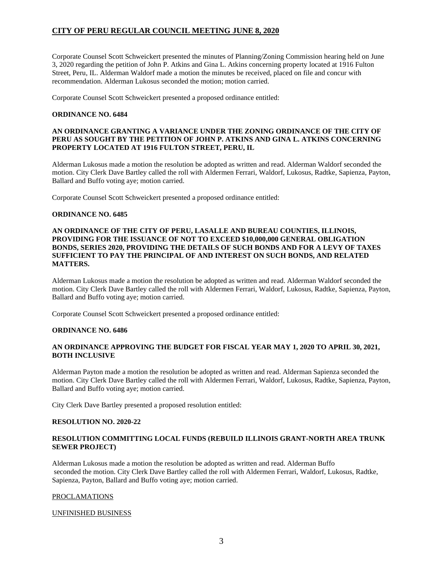Corporate Counsel Scott Schweickert presented the minutes of Planning/Zoning Commission hearing held on June 3, 2020 regarding the petition of John P. Atkins and Gina L. Atkins concerning property located at 1916 Fulton Street, Peru, IL. Alderman Waldorf made a motion the minutes be received, placed on file and concur with recommendation. Alderman Lukosus seconded the motion; motion carried.

Corporate Counsel Scott Schweickert presented a proposed ordinance entitled:

# **ORDINANCE NO. 6484**

# **AN ORDINANCE GRANTING A VARIANCE UNDER THE ZONING ORDINANCE OF THE CITY OF PERU AS SOUGHT BY THE PETITION OF JOHN P. ATKINS AND GINA L. ATKINS CONCERNING PROPERTY LOCATED AT 1916 FULTON STREET, PERU, IL**

Alderman Lukosus made a motion the resolution be adopted as written and read. Alderman Waldorf seconded the motion. City Clerk Dave Bartley called the roll with Aldermen Ferrari, Waldorf, Lukosus, Radtke, Sapienza, Payton, Ballard and Buffo voting aye; motion carried.

Corporate Counsel Scott Schweickert presented a proposed ordinance entitled:

## **ORDINANCE NO. 6485**

## **AN ORDINANCE OF THE CITY OF PERU, LASALLE AND BUREAU COUNTIES, ILLINOIS, PROVIDING FOR THE ISSUANCE OF NOT TO EXCEED \$10,000,000 GENERAL OBLIGATION BONDS, SERIES 2020, PROVIDING THE DETAILS OF SUCH BONDS AND FOR A LEVY OF TAXES SUFFICIENT TO PAY THE PRINCIPAL OF AND INTEREST ON SUCH BONDS, AND RELATED MATTERS.**

Alderman Lukosus made a motion the resolution be adopted as written and read. Alderman Waldorf seconded the motion. City Clerk Dave Bartley called the roll with Aldermen Ferrari, Waldorf, Lukosus, Radtke, Sapienza, Payton, Ballard and Buffo voting aye; motion carried.

Corporate Counsel Scott Schweickert presented a proposed ordinance entitled:

## **ORDINANCE NO. 6486**

# **AN ORDINANCE APPROVING THE BUDGET FOR FISCAL YEAR MAY 1, 2020 TO APRIL 30, 2021, BOTH INCLUSIVE**

Alderman Payton made a motion the resolution be adopted as written and read. Alderman Sapienza seconded the motion. City Clerk Dave Bartley called the roll with Aldermen Ferrari, Waldorf, Lukosus, Radtke, Sapienza, Payton, Ballard and Buffo voting aye; motion carried.

City Clerk Dave Bartley presented a proposed resolution entitled:

## **RESOLUTION NO. 2020-22**

# **RESOLUTION COMMITTING LOCAL FUNDS (REBUILD ILLINOIS GRANT-NORTH AREA TRUNK SEWER PROJECT)**

Alderman Lukosus made a motion the resolution be adopted as written and read. Alderman Buffo seconded the motion. City Clerk Dave Bartley called the roll with Aldermen Ferrari, Waldorf, Lukosus, Radtke, Sapienza, Payton, Ballard and Buffo voting aye; motion carried.

# PROCLAMATIONS

## UNFINISHED BUSINESS